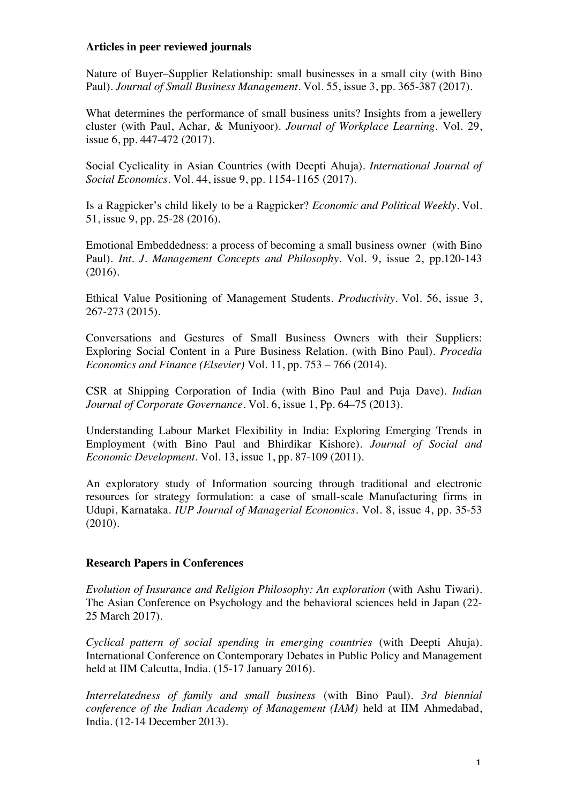## **Articles in peer reviewed journals**

Nature of Buyer–Supplier Relationship: small businesses in a small city (with Bino Paul). *Journal of Small Business Management.* Vol. 55, issue 3, pp. 365-387 (2017).

What determines the performance of small business units? Insights from a jewellery cluster (with Paul, Achar, & Muniyoor). *Journal of Workplace Learning.* Vol. 29, issue 6, pp. 447-472 (2017).

Social Cyclicality in Asian Countries (with Deepti Ahuja). *International Journal of Social Economics*. Vol. 44, issue 9, pp. 1154-1165 (2017).

Is a Ragpicker's child likely to be a Ragpicker? *Economic and Political Weekly.* Vol. 51, issue 9, pp. 25-28 (2016).

Emotional Embeddedness: a process of becoming a small business owner (with Bino Paul). *Int. J. Management Concepts and Philosophy.* Vol. 9, issue 2, pp.120-143 (2016).

Ethical Value Positioning of Management Students. *Productivity.* Vol. 56, issue 3, 267-273 (2015).

Conversations and Gestures of Small Business Owners with their Suppliers: Exploring Social Content in a Pure Business Relation. (with Bino Paul). *Procedia Economics and Finance (Elsevier)* Vol. 11, pp. 753 – 766 (2014).

CSR at Shipping Corporation of India (with Bino Paul and Puja Dave). *Indian Journal of Corporate Governance.* Vol. 6, issue 1, Pp. 64–75 (2013).

Understanding Labour Market Flexibility in India: Exploring Emerging Trends in Employment (with Bino Paul and Bhirdikar Kishore). *Journal of Social and Economic Development*. Vol. 13, issue 1, pp. 87-109 (2011).

An exploratory study of Information sourcing through traditional and electronic resources for strategy formulation: a case of small-scale Manufacturing firms in Udupi, Karnataka. *IUP Journal of Managerial Economics*. Vol. 8, issue 4, pp. 35-53 (2010).

## **Research Papers in Conferences**

*Evolution of Insurance and Religion Philosophy: An exploration* (with Ashu Tiwari). The Asian Conference on Psychology and the behavioral sciences held in Japan (22- 25 March 2017).

*Cyclical pattern of social spending in emerging countries* (with Deepti Ahuja). International Conference on Contemporary Debates in Public Policy and Management held at IIM Calcutta, India. (15-17 January 2016).

*Interrelatedness of family and small business* (with Bino Paul). *3rd biennial conference of the Indian Academy of Management (IAM)* held at IIM Ahmedabad, India. (12-14 December 2013).